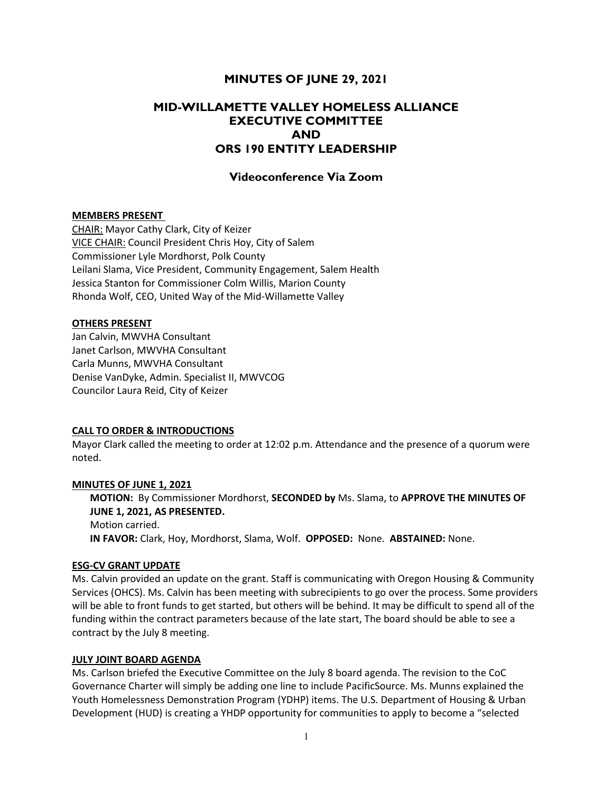## MINUTES OF JUNE 29, 2021

# MID-WILLAMETTE VALLEY HOMELESS ALLIANCE EXECUTIVE COMMITTEE AND ORS 190 ENTITY LEADERSHIP

## Videoconference Via Zoom

## MEMBERS PRESENT

CHAIR: Mayor Cathy Clark, City of Keizer VICE CHAIR: Council President Chris Hoy, City of Salem Commissioner Lyle Mordhorst, Polk County Leilani Slama, Vice President, Community Engagement, Salem Health Jessica Stanton for Commissioner Colm Willis, Marion County Rhonda Wolf, CEO, United Way of the Mid-Willamette Valley

#### OTHERS PRESENT

Jan Calvin, MWVHA Consultant Janet Carlson, MWVHA Consultant Carla Munns, MWVHA Consultant Denise VanDyke, Admin. Specialist II, MWVCOG Councilor Laura Reid, City of Keizer

## CALL TO ORDER & INTRODUCTIONS

Mayor Clark called the meeting to order at 12:02 p.m. Attendance and the presence of a quorum were noted.

## MINUTES OF JUNE 1, 2021

MOTION: By Commissioner Mordhorst, SECONDED by Ms. Slama, to APPROVE THE MINUTES OF JUNE 1, 2021, AS PRESENTED. Motion carried.

IN FAVOR: Clark, Hoy, Mordhorst, Slama, Wolf. OPPOSED: None. ABSTAINED: None.

#### ESG-CV GRANT UPDATE

Ms. Calvin provided an update on the grant. Staff is communicating with Oregon Housing & Community Services (OHCS). Ms. Calvin has been meeting with subrecipients to go over the process. Some providers will be able to front funds to get started, but others will be behind. It may be difficult to spend all of the funding within the contract parameters because of the late start, The board should be able to see a contract by the July 8 meeting.

#### JULY JOINT BOARD AGENDA

Ms. Carlson briefed the Executive Committee on the July 8 board agenda. The revision to the CoC Governance Charter will simply be adding one line to include PacificSource. Ms. Munns explained the Youth Homelessness Demonstration Program (YDHP) items. The U.S. Department of Housing & Urban Development (HUD) is creating a YHDP opportunity for communities to apply to become a "selected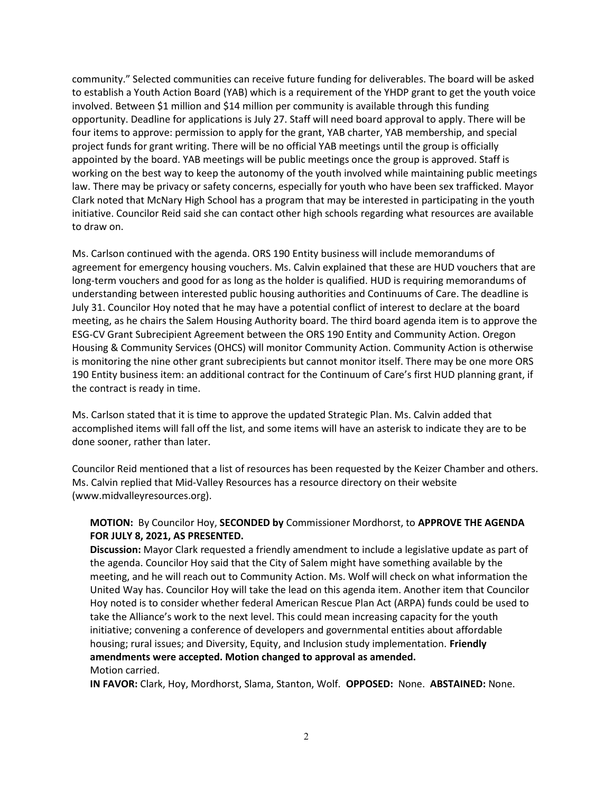community." Selected communities can receive future funding for deliverables. The board will be asked to establish a Youth Action Board (YAB) which is a requirement of the YHDP grant to get the youth voice involved. Between \$1 million and \$14 million per community is available through this funding opportunity. Deadline for applications is July 27. Staff will need board approval to apply. There will be four items to approve: permission to apply for the grant, YAB charter, YAB membership, and special project funds for grant writing. There will be no official YAB meetings until the group is officially appointed by the board. YAB meetings will be public meetings once the group is approved. Staff is working on the best way to keep the autonomy of the youth involved while maintaining public meetings law. There may be privacy or safety concerns, especially for youth who have been sex trafficked. Mayor Clark noted that McNary High School has a program that may be interested in participating in the youth initiative. Councilor Reid said she can contact other high schools regarding what resources are available to draw on.

Ms. Carlson continued with the agenda. ORS 190 Entity business will include memorandums of agreement for emergency housing vouchers. Ms. Calvin explained that these are HUD vouchers that are long-term vouchers and good for as long as the holder is qualified. HUD is requiring memorandums of understanding between interested public housing authorities and Continuums of Care. The deadline is July 31. Councilor Hoy noted that he may have a potential conflict of interest to declare at the board meeting, as he chairs the Salem Housing Authority board. The third board agenda item is to approve the ESG-CV Grant Subrecipient Agreement between the ORS 190 Entity and Community Action. Oregon Housing & Community Services (OHCS) will monitor Community Action. Community Action is otherwise is monitoring the nine other grant subrecipients but cannot monitor itself. There may be one more ORS 190 Entity business item: an additional contract for the Continuum of Care's first HUD planning grant, if the contract is ready in time.

Ms. Carlson stated that it is time to approve the updated Strategic Plan. Ms. Calvin added that accomplished items will fall off the list, and some items will have an asterisk to indicate they are to be done sooner, rather than later.

Councilor Reid mentioned that a list of resources has been requested by the Keizer Chamber and others. Ms. Calvin replied that Mid-Valley Resources has a resource directory on their website (www.midvalleyresources.org).

## MOTION: By Councilor Hoy, SECONDED by Commissioner Mordhorst, to APPROVE THE AGENDA FOR JULY 8, 2021, AS PRESENTED.

Discussion: Mayor Clark requested a friendly amendment to include a legislative update as part of the agenda. Councilor Hoy said that the City of Salem might have something available by the meeting, and he will reach out to Community Action. Ms. Wolf will check on what information the United Way has. Councilor Hoy will take the lead on this agenda item. Another item that Councilor Hoy noted is to consider whether federal American Rescue Plan Act (ARPA) funds could be used to take the Alliance's work to the next level. This could mean increasing capacity for the youth initiative; convening a conference of developers and governmental entities about affordable housing; rural issues; and Diversity, Equity, and Inclusion study implementation. Friendly amendments were accepted. Motion changed to approval as amended. Motion carried.

IN FAVOR: Clark, Hoy, Mordhorst, Slama, Stanton, Wolf. OPPOSED: None. ABSTAINED: None.